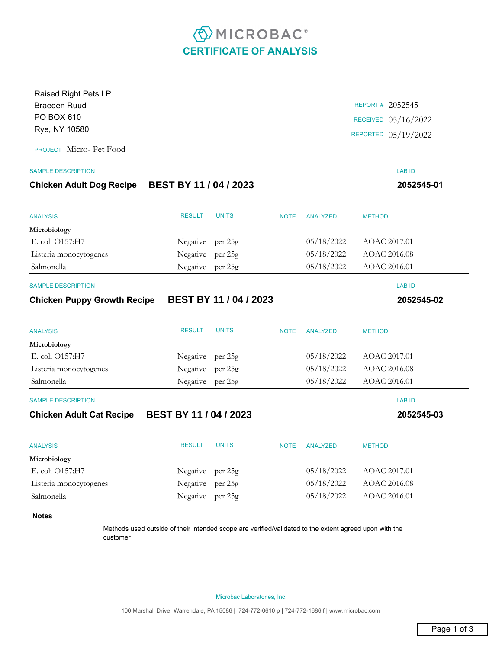## **EMICROBAC CERTIFICATE OF ANALYSIS**

| Raised Right Pets LP                               |                               |                           |             |                     |                     |  |
|----------------------------------------------------|-------------------------------|---------------------------|-------------|---------------------|---------------------|--|
| <b>Braeden Ruud</b><br>PO BOX 610<br>Rye, NY 10580 |                               |                           |             | REPORT# 2052545     |                     |  |
|                                                    |                               |                           |             |                     | RECEIVED 05/16/2022 |  |
|                                                    |                               |                           |             | REPORTED 05/19/2022 |                     |  |
| PROJECT Micro- Pet Food                            |                               |                           |             |                     |                     |  |
| <b>SAMPLE DESCRIPTION</b>                          |                               |                           |             |                     | <b>LAB ID</b>       |  |
| <b>Chicken Adult Dog Recipe</b>                    | <b>BEST BY 11 / 04 / 2023</b> |                           |             |                     | 2052545-01          |  |
| <b>ANALYSIS</b>                                    | <b>RESULT</b>                 | <b>UNITS</b>              | <b>NOTE</b> | <b>ANALYZED</b>     | <b>METHOD</b>       |  |
| Microbiology                                       |                               |                           |             |                     |                     |  |
| E. coli O157:H7                                    | Negative per 25g              |                           |             | 05/18/2022          | AOAC 2017.01        |  |
| Listeria monocytogenes                             | Negative                      | per 25g                   |             | 05/18/2022          | AOAC 2016.08        |  |
| Salmonella                                         | Negative per 25g              |                           |             | 05/18/2022          | AOAC 2016.01        |  |
| <b>SAMPLE DESCRIPTION</b>                          |                               |                           |             |                     | <b>LAB ID</b>       |  |
| <b>Chicken Puppy Growth Recipe</b>                 |                               | <b>BEST BY 11/04/2023</b> |             |                     | 2052545-02          |  |
| <b>ANALYSIS</b>                                    | <b>RESULT</b>                 | <b>UNITS</b>              | <b>NOTE</b> | <b>ANALYZED</b>     | <b>METHOD</b>       |  |
| Microbiology                                       |                               |                           |             |                     |                     |  |
| E. coli O157:H7                                    | Negative per 25g              |                           |             | 05/18/2022          | AOAC 2017.01        |  |
| Listeria monocytogenes                             | Negative per 25g              |                           |             | 05/18/2022          | AOAC 2016.08        |  |
| Salmonella                                         | Negative per 25g              |                           |             | 05/18/2022          | AOAC 2016.01        |  |
| <b>SAMPLE DESCRIPTION</b>                          |                               |                           |             |                     | <b>LAB ID</b>       |  |
| <b>Chicken Adult Cat Recipe</b>                    | <b>BEST BY 11/04/2023</b>     |                           |             |                     | 2052545-03          |  |
| <b>ANALYSIS</b>                                    | <b>RESULT</b>                 | <b>UNITS</b>              | <b>NOTE</b> | <b>ANALYZED</b>     | <b>METHOD</b>       |  |
| Microbiology                                       |                               |                           |             |                     |                     |  |
| E. coli O157:H7                                    | Negative per 25g              |                           |             | 05/18/2022          | AOAC 2017.01        |  |
| Listeria monocytogenes                             | Negative                      | per 25g                   |             | 05/18/2022          | AOAC 2016.08        |  |
| Salmonella                                         | Negative per 25g              |                           |             | 05/18/2022          | AOAC 2016.01        |  |
| <b>Notes</b>                                       |                               |                           |             |                     |                     |  |

Methods used outside of their intended scope are verified/validated to the extent agreed upon with the customer

Microbac Laboratories, Inc.